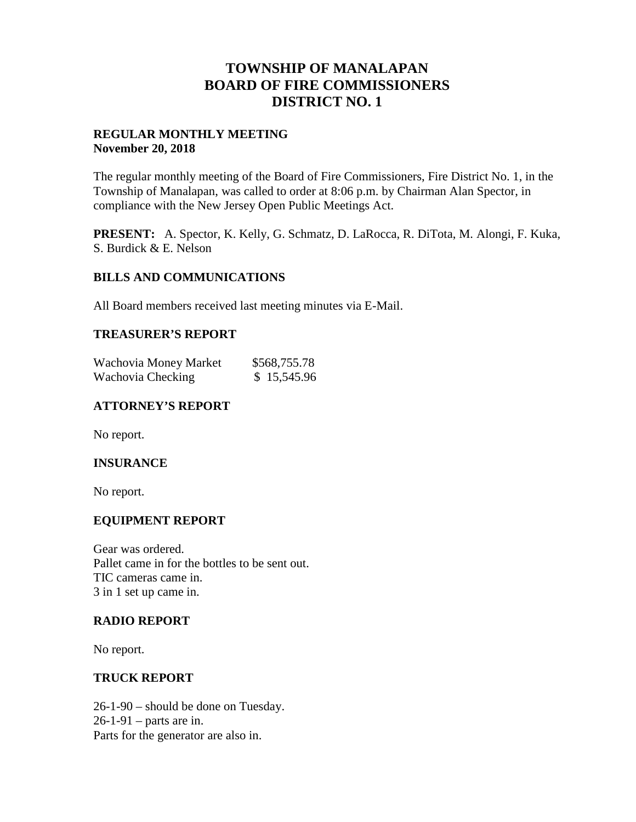## **TOWNSHIP OF MANALAPAN BOARD OF FIRE COMMISSIONERS DISTRICT NO. 1**

### **REGULAR MONTHLY MEETING November 20, 2018**

The regular monthly meeting of the Board of Fire Commissioners, Fire District No. 1, in the Township of Manalapan, was called to order at 8:06 p.m. by Chairman Alan Spector, in compliance with the New Jersey Open Public Meetings Act.

**PRESENT:** A. Spector, K. Kelly, G. Schmatz, D. LaRocca, R. DiTota, M. Alongi, F. Kuka, S. Burdick & E. Nelson

#### **BILLS AND COMMUNICATIONS**

All Board members received last meeting minutes via E-Mail.

#### **TREASURER'S REPORT**

| Wachovia Money Market | \$568,755.78 |
|-----------------------|--------------|
| Wachovia Checking     | \$15,545.96  |

### **ATTORNEY'S REPORT**

No report.

#### **INSURANCE**

No report.

#### **EQUIPMENT REPORT**

Gear was ordered. Pallet came in for the bottles to be sent out. TIC cameras came in. 3 in 1 set up came in.

#### **RADIO REPORT**

No report.

#### **TRUCK REPORT**

26-1-90 – should be done on Tuesday. 26-1-91 – parts are in. Parts for the generator are also in.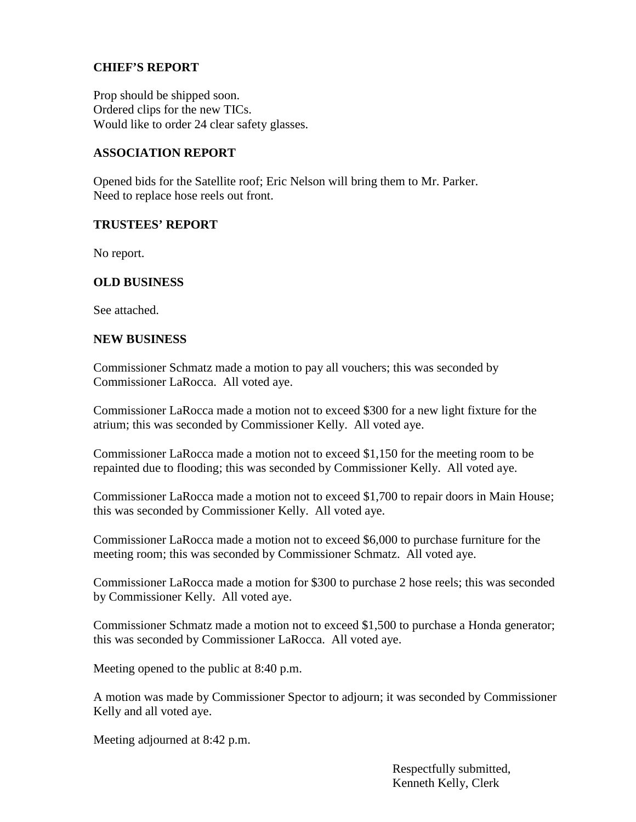### **CHIEF'S REPORT**

Prop should be shipped soon. Ordered clips for the new TICs. Would like to order 24 clear safety glasses.

#### **ASSOCIATION REPORT**

Opened bids for the Satellite roof; Eric Nelson will bring them to Mr. Parker. Need to replace hose reels out front.

#### **TRUSTEES' REPORT**

No report.

#### **OLD BUSINESS**

See attached.

#### **NEW BUSINESS**

Commissioner Schmatz made a motion to pay all vouchers; this was seconded by Commissioner LaRocca. All voted aye.

Commissioner LaRocca made a motion not to exceed \$300 for a new light fixture for the atrium; this was seconded by Commissioner Kelly. All voted aye.

Commissioner LaRocca made a motion not to exceed \$1,150 for the meeting room to be repainted due to flooding; this was seconded by Commissioner Kelly. All voted aye.

Commissioner LaRocca made a motion not to exceed \$1,700 to repair doors in Main House; this was seconded by Commissioner Kelly. All voted aye.

Commissioner LaRocca made a motion not to exceed \$6,000 to purchase furniture for the meeting room; this was seconded by Commissioner Schmatz. All voted aye.

Commissioner LaRocca made a motion for \$300 to purchase 2 hose reels; this was seconded by Commissioner Kelly. All voted aye.

Commissioner Schmatz made a motion not to exceed \$1,500 to purchase a Honda generator; this was seconded by Commissioner LaRocca. All voted aye.

Meeting opened to the public at 8:40 p.m.

A motion was made by Commissioner Spector to adjourn; it was seconded by Commissioner Kelly and all voted aye.

Meeting adjourned at 8:42 p.m.

Respectfully submitted, Kenneth Kelly, Clerk